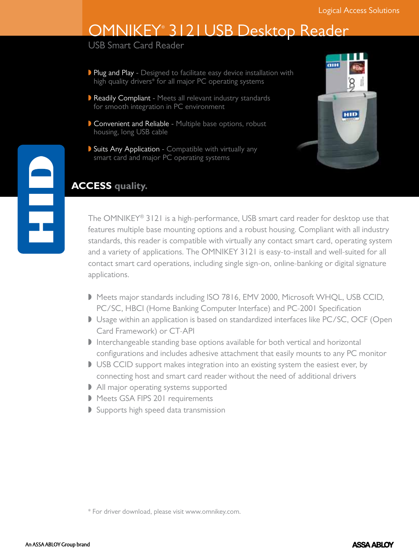# OMNIKEY® 3121 USB Desktop Reader

USB Smart Card Reader

- Plug and Play Designed to facilitate easy device installation with high quality drivers\* for all major PC operating systems
- Readily Compliant Meets all relevant industry standards for smooth integration in PC environment
- Convenient and Reliable Multiple base options, robust housing, long USB cable
- Suits Any Application Compatible with virtually any smart card and major PC operating systems



### **ACCESS quality.**

The OMNIKEY® 3121 is a high-performance, USB smart card reader for desktop use that features multiple base mounting options and a robust housing. Compliant with all industry standards, this reader is compatible with virtually any contact smart card, operating system and a variety of applications. The OMNIKEY 3121 is easy-to-install and well-suited for all contact smart card operations, including single sign-on, online-banking or digital signature applications.

- Meets major standards including ISO 7816, EMV 2000, Microsoft WHQL, USB CCID, PC/SC, HBCI (Home Banking Computer Interface) and PC-2001 Specification
- Usage within an application is based on standardized interfaces like PC/SC, OCF (Open Card Framework) or CT-API
- $\blacktriangleright$  Interchangeable standing base options available for both vertical and horizontal configurations and includes adhesive attachment that easily mounts to any PC monitor
- USB CCID support makes integration into an existing system the easiest ever, by connecting host and smart card reader without the need of additional drivers
- I All major operating systems supported
- Meets GSA FIPS 201 requirements
- $\triangleright$  Supports high speed data transmission

<sup>\*</sup> For driver download, please visit www.omnikey.com.